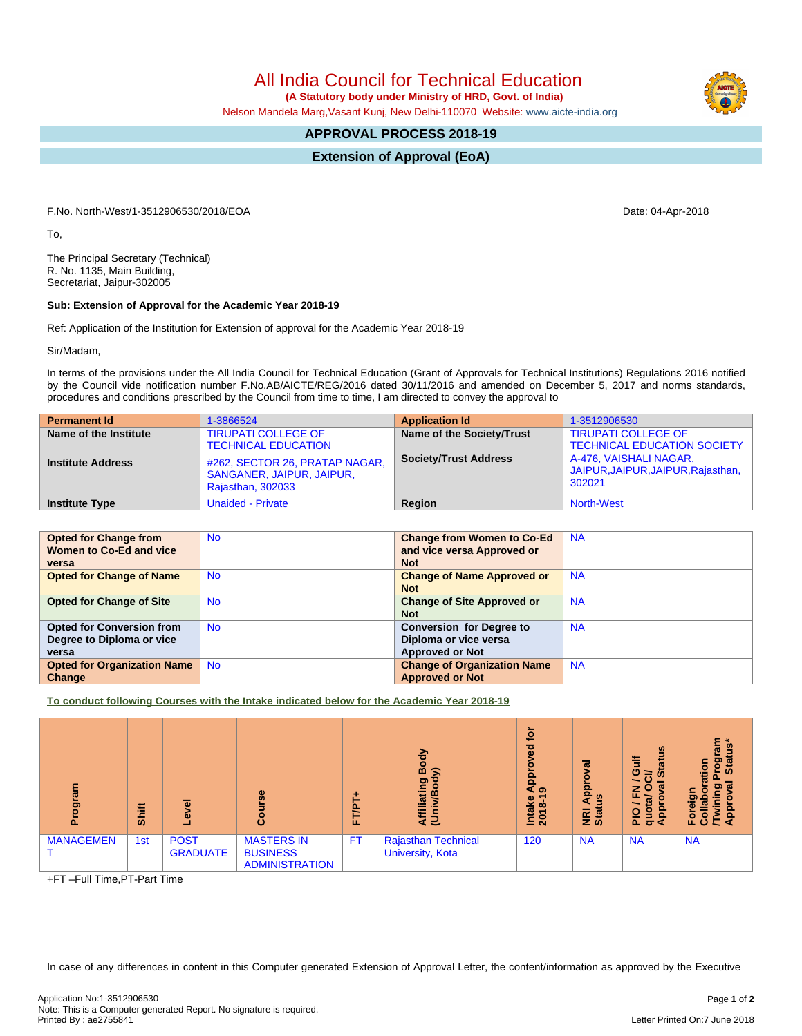All India Council for Technical Education

 **(A Statutory body under Ministry of HRD, Govt. of India)**

Nelson Mandela Marg,Vasant Kunj, New Delhi-110070 Website: [www.aicte-india.org](http://www.aicte-india.org)

## **APPROVAL PROCESS 2018-19**

**Extension of Approval (EoA)**

F.No. North-West/1-3512906530/2018/EOA Date: 04-Apr-2018

To,

The Principal Secretary (Technical) R. No. 1135, Main Building, Secretariat, Jaipur-302005

## **Sub: Extension of Approval for the Academic Year 2018-19**

Ref: Application of the Institution for Extension of approval for the Academic Year 2018-19

Sir/Madam,

In terms of the provisions under the All India Council for Technical Education (Grant of Approvals for Technical Institutions) Regulations 2016 notified by the Council vide notification number F.No.AB/AICTE/REG/2016 dated 30/11/2016 and amended on December 5, 2017 and norms standards, procedures and conditions prescribed by the Council from time to time, I am directed to convey the approval to

| <b>Permanent Id</b>      | 1-3866524                                                                        | <b>Application Id</b>        | 1-3512906530                                                           |
|--------------------------|----------------------------------------------------------------------------------|------------------------------|------------------------------------------------------------------------|
| Name of the Institute    | <b>TIRUPATI COLLEGE OF</b><br><b>TECHNICAL EDUCATION</b>                         | Name of the Society/Trust    | <b>TIRUPATI COLLEGE OF</b><br><b>TECHNICAL EDUCATION SOCIETY</b>       |
| <b>Institute Address</b> | #262, SECTOR 26, PRATAP NAGAR,<br>SANGANER, JAIPUR, JAIPUR,<br>Rajasthan, 302033 | <b>Society/Trust Address</b> | A-476, VAISHALI NAGAR,<br>JAIPUR, JAIPUR, JAIPUR, Rajasthan,<br>302021 |
| <b>Institute Type</b>    | <b>Unaided - Private</b>                                                         | Region                       | <b>North-West</b>                                                      |

| <b>Opted for Change from</b>       | <b>No</b> | <b>Change from Women to Co-Ed</b>  | <b>NA</b> |
|------------------------------------|-----------|------------------------------------|-----------|
| Women to Co-Ed and vice            |           | and vice versa Approved or         |           |
| versa                              |           | <b>Not</b>                         |           |
| <b>Opted for Change of Name</b>    | <b>No</b> | <b>Change of Name Approved or</b>  | <b>NA</b> |
|                                    |           | <b>Not</b>                         |           |
| <b>Opted for Change of Site</b>    | <b>No</b> | <b>Change of Site Approved or</b>  | <b>NA</b> |
|                                    |           | <b>Not</b>                         |           |
| <b>Opted for Conversion from</b>   | <b>No</b> | <b>Conversion for Degree to</b>    | <b>NA</b> |
| Degree to Diploma or vice          |           | Diploma or vice versa              |           |
| versa                              |           | <b>Approved or Not</b>             |           |
| <b>Opted for Organization Name</b> | <b>No</b> | <b>Change of Organization Name</b> | <b>NA</b> |
| Change                             |           | <b>Approved or Not</b>             |           |

**To conduct following Courses with the Intake indicated below for the Academic Year 2018-19**

| ram<br>ਨੁ<br>Δ.  | <b>Shift</b> | $\alpha$                       | $s$ e<br>ပိ                                                   | ٠<br>5<br>ш | Body<br>≲<br>Affiliating<br>(Univ/Bod          | ្នុ<br>್ಥಾ<br><b>App</b><br>െ<br>Intake<br>2018-1 | <u>ಸ</u><br>о<br>휻<br>ី<br><b>NRI</b><br>Stat | $\boldsymbol{\omega}$<br>ă<br>荋<br>Ō<br>ဖာ<br>त<br>z<br>ш.<br>w<br><u>pp</u><br>9<br>$rac{1}{2}$<br>$\sigma$<br>Œ | ٤<br>-36<br>w<br>Stat<br>o<br>ation<br>ႍ<br>w<br>O)<br>흢<br>용<br>ි<br>c |
|------------------|--------------|--------------------------------|---------------------------------------------------------------|-------------|------------------------------------------------|---------------------------------------------------|-----------------------------------------------|-------------------------------------------------------------------------------------------------------------------|-------------------------------------------------------------------------|
| <b>MANAGEMEN</b> | 1st          | <b>POST</b><br><b>GRADUATE</b> | <b>MASTERS IN</b><br><b>BUSINESS</b><br><b>ADMINISTRATION</b> | <b>FT</b>   | <b>Rajasthan Technical</b><br>University, Kota | 120                                               | <b>NA</b>                                     | <b>NA</b>                                                                                                         | <b>NA</b>                                                               |

+FT –Full Time,PT-Part Time

In case of any differences in content in this Computer generated Extension of Approval Letter, the content/information as approved by the Executive